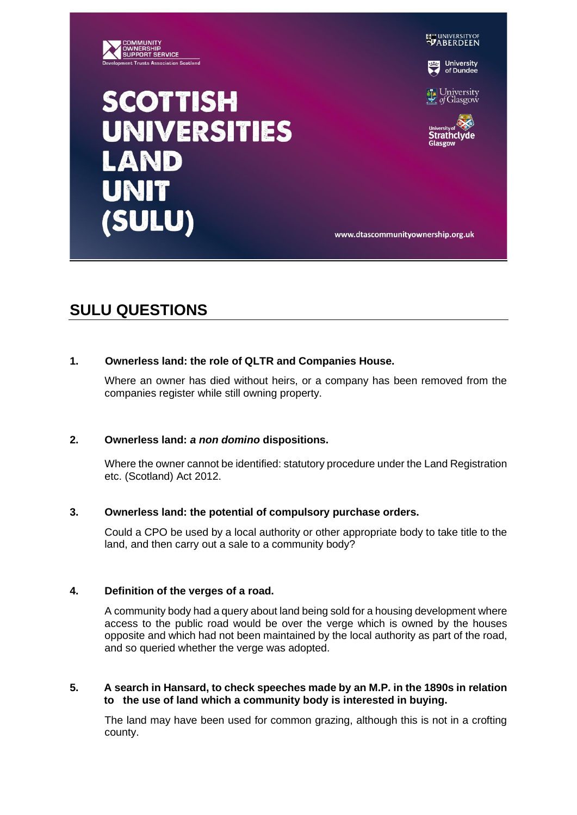

### **EN UNIVERSITY OF**

**University**<br>of Dundee

University<br>of Glasgow

Strathclvde Glasgow

www.dtascommunityownership.org.uk

# **SCOTTISH UNIVERSITIES AND UNIT** (SULU)

## **SULU QUESTIONS**

#### **1. Ownerless land: the role of QLTR and Companies House.**

Where an owner has died without heirs, or a company has been removed from the companies register while still owning property.

#### **2. Ownerless land:** *a non domino* **dispositions.**

Where the owner cannot be identified: statutory procedure under the Land Registration etc. (Scotland) Act 2012.

#### **3. Ownerless land: the potential of compulsory purchase orders.**

Could a CPO be used by a local authority or other appropriate body to take title to the land, and then carry out a sale to a community body?

#### **4. Definition of the verges of a road.**

A community body had a query about land being sold for a housing development where access to the public road would be over the verge which is owned by the houses opposite and which had not been maintained by the local authority as part of the road, and so queried whether the verge was adopted.

#### **5. A search in Hansard, to check speeches made by an M.P. in the 1890s in relation to the use of land which a community body is interested in buying.**

The land may have been used for common grazing, although this is not in a crofting county.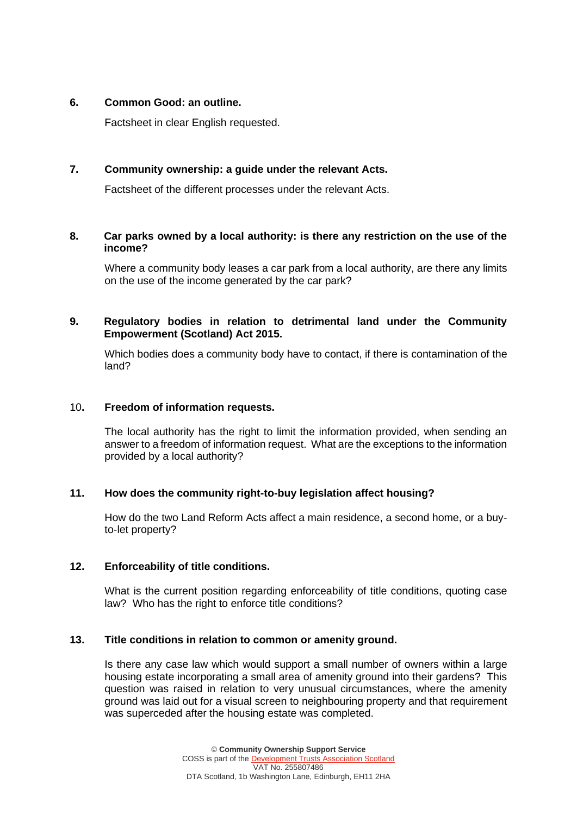#### **6. Common Good: an outline.**

Factsheet in clear English requested.

#### **7. Community ownership: a guide under the relevant Acts.**

Factsheet of the different processes under the relevant Acts.

#### **8. Car parks owned by a local authority: is there any restriction on the use of the income?**

Where a community body leases a car park from a local authority, are there any limits on the use of the income generated by the car park?

#### **9. Regulatory bodies in relation to detrimental land under the Community Empowerment (Scotland) Act 2015.**

Which bodies does a community body have to contact, if there is contamination of the land?

#### 10**. Freedom of information requests.**

The local authority has the right to limit the information provided, when sending an answer to a freedom of information request. What are the exceptions to the information provided by a local authority?

#### **11. How does the community right-to-buy legislation affect housing?**

How do the two Land Reform Acts affect a main residence, a second home, or a buyto-let property?

#### **12. Enforceability of title conditions.**

What is the current position regarding enforceability of title conditions, quoting case law? Who has the right to enforce title conditions?

#### **13. Title conditions in relation to common or amenity ground.**

Is there any case law which would support a small number of owners within a large housing estate incorporating a small area of amenity ground into their gardens? This question was raised in relation to very unusual circumstances, where the amenity ground was laid out for a visual screen to neighbouring property and that requirement was superceded after the housing estate was completed.